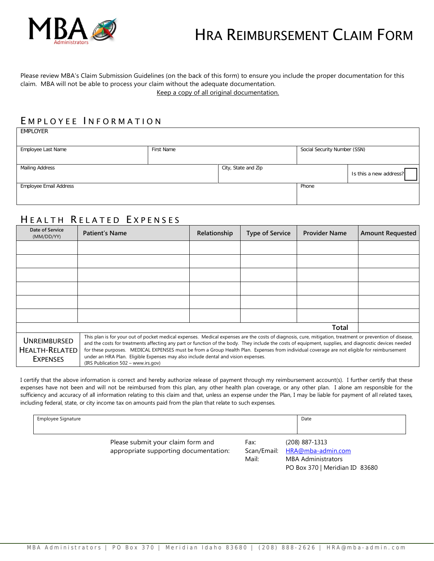

# HRA REIMBURSEMENT CLAIM FORM

#### Please review MBA's Claim Submission Guidelines (on the back of this form) to ensure you include the proper documentation for this claim. MBA will not be able to process your claim without the adequate documentation. Keep a copy of all original documentation.

# E MPLOYEE I NFORMATION

EMPLOYER

| Employee Last Name     | First Name |                     | Social Security Number (SSN) |                        |
|------------------------|------------|---------------------|------------------------------|------------------------|
|                        |            |                     |                              |                        |
| <b>Mailing Address</b> |            | City, State and Zip |                              | Is this a new address? |
| Employee Email Address |            |                     | Phone                        |                        |
|                        |            |                     |                              |                        |

# HEALTH RELATED EXPENSES

| Date of Service<br>(MM/DD/YY)                            | <b>Patient's Name</b>                                                                                                                                                                                                                                                                                                                                                                                                                                                                                                                                                                        | Relationship | <b>Type of Service</b> | <b>Provider Name</b> | <b>Amount Requested</b> |
|----------------------------------------------------------|----------------------------------------------------------------------------------------------------------------------------------------------------------------------------------------------------------------------------------------------------------------------------------------------------------------------------------------------------------------------------------------------------------------------------------------------------------------------------------------------------------------------------------------------------------------------------------------------|--------------|------------------------|----------------------|-------------------------|
|                                                          |                                                                                                                                                                                                                                                                                                                                                                                                                                                                                                                                                                                              |              |                        |                      |                         |
|                                                          |                                                                                                                                                                                                                                                                                                                                                                                                                                                                                                                                                                                              |              |                        |                      |                         |
|                                                          |                                                                                                                                                                                                                                                                                                                                                                                                                                                                                                                                                                                              |              |                        |                      |                         |
|                                                          |                                                                                                                                                                                                                                                                                                                                                                                                                                                                                                                                                                                              |              |                        |                      |                         |
|                                                          |                                                                                                                                                                                                                                                                                                                                                                                                                                                                                                                                                                                              |              |                        |                      |                         |
|                                                          |                                                                                                                                                                                                                                                                                                                                                                                                                                                                                                                                                                                              |              |                        |                      |                         |
|                                                          |                                                                                                                                                                                                                                                                                                                                                                                                                                                                                                                                                                                              |              |                        | Total                |                         |
| UNREIMBURSED<br><b>HEALTH-RELATED</b><br><b>EXPENSES</b> | This plan is for your out of pocket medical expenses. Medical expenses are the costs of diagnosis, cure, mitigation, treatment or prevention of disease,<br>and the costs for treatments affecting any part or function of the body. They include the costs of equipment, supplies, and diagnostic devices needed<br>for these purposes. MEDICAL EXPENSES must be from a Group Health Plan. Expenses from individual coverage are not eligible for reimbursement<br>under an HRA Plan. Eligible Expenses may also include dental and vision expenses.<br>(IRS Publication 502 - www.irs.gov) |              |                        |                      |                         |

I certify that the above information is correct and hereby authorize release of payment through my reimbursement account(s). I further certify that these expenses have not been and will not be reimbursed from this plan, any other health plan coverage, or any other plan. I alone am responsible for the sufficiency and accuracy of all information relating to this claim and that, unless an expense under the Plan, I may be liable for payment of all related taxes, including federal, state, or city income tax on amounts paid from the plan that relate to such expenses.

| Employee Signature                                                         |                              | Date                                                                                               |
|----------------------------------------------------------------------------|------------------------------|----------------------------------------------------------------------------------------------------|
| Please submit your claim form and<br>appropriate supporting documentation: | Fax:<br>Scan/Email:<br>Mail: | (208) 887-1313<br>HRA@mba-admin.com<br><b>MBA Administrators</b><br>PO Box 370   Meridian ID 83680 |